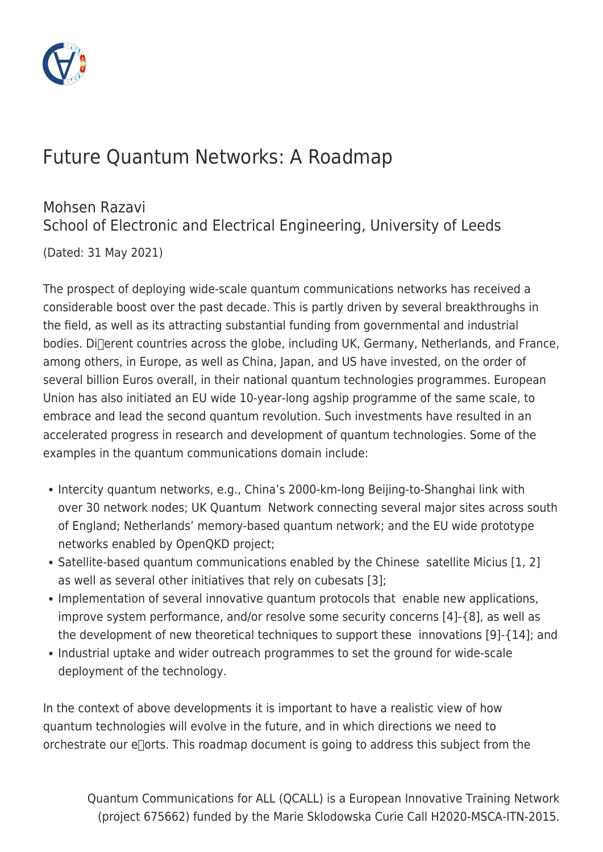

# Future Quantum Networks: A Roadmap

#### Mohsen Razavi School of Electronic and Electrical Engineering, University of Leeds

(Dated: 31 May 2021)

The prospect of deploying wide-scale quantum communications networks has received a considerable boost over the past decade. This is partly driven by several breakthroughs in the field, as well as its attracting substantial funding from governmental and industrial bodies. Di<sub>clerent</sub> countries across the globe, including UK, Germany, Netherlands, and France, among others, in Europe, as well as China, Japan, and US have invested, on the order of several billion Euros overall, in their national quantum technologies programmes. European Union has also initiated an EU wide 10-year-long agship programme of the same scale, to embrace and lead the second quantum revolution. Such investments have resulted in an accelerated progress in research and development of quantum technologies. Some of the examples in the quantum communications domain include:

- Intercity quantum networks, e.g., China's 2000-km-long Beijing-to-Shanghai link with over 30 network nodes; UK Quantum Network connecting several major sites across south of England; Netherlands' memory-based quantum network; and the EU wide prototype networks enabled by OpenQKD project;
- Satellite-based quantum communications enabled by the Chinese satellite Micius [1, 2] as well as several other initiatives that rely on cubesats [3];
- Implementation of several innovative quantum protocols that enable new applications, improve system performance, and/or resolve some security concerns [4]-{8], as well as the development of new theoretical techniques to support these innovations [9]-{14]; and
- Industrial uptake and wider outreach programmes to set the ground for wide-scale deployment of the technology.

In the context of above developments it is important to have a realistic view of how quantum technologies will evolve in the future, and in which directions we need to orchestrate our  $e$  $\Gamma$ orts. This roadmap document is going to address this subject from the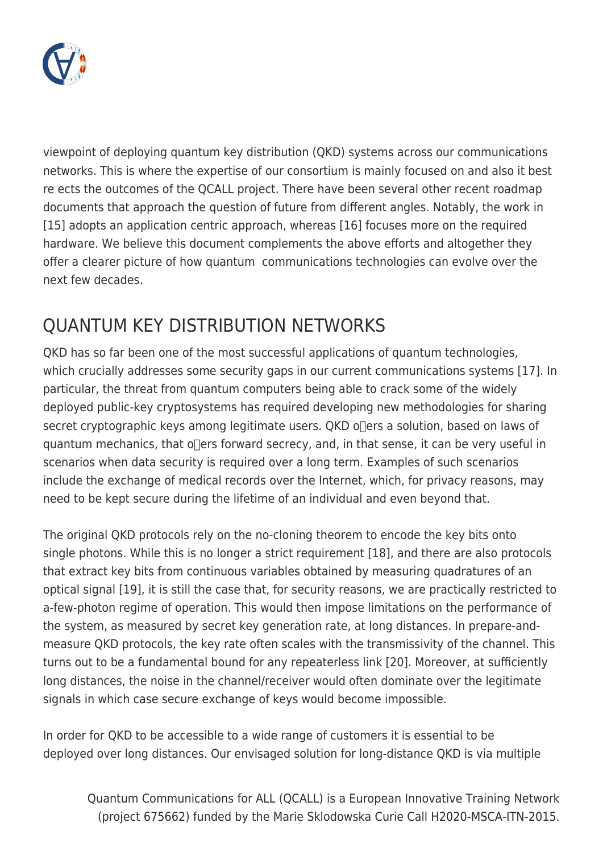

viewpoint of deploying quantum key distribution (QKD) systems across our communications networks. This is where the expertise of our consortium is mainly focused on and also it best re ects the outcomes of the QCALL project. There have been several other recent roadmap documents that approach the question of future from different angles. Notably, the work in [15] adopts an application centric approach, whereas [16] focuses more on the required hardware. We believe this document complements the above efforts and altogether they offer a clearer picture of how quantum communications technologies can evolve over the next few decades.

## QUANTUM KEY DISTRIBUTION NETWORKS

QKD has so far been one of the most successful applications of quantum technologies, which crucially addresses some security gaps in our current communications systems [17]. In particular, the threat from quantum computers being able to crack some of the widely deployed public-key cryptosystems has required developing new methodologies for sharing secret cryptographic keys among legitimate users. QKD offers a solution, based on laws of quantum mechanics, that of ers forward secrecy, and, in that sense, it can be very useful in scenarios when data security is required over a long term. Examples of such scenarios include the exchange of medical records over the Internet, which, for privacy reasons, may need to be kept secure during the lifetime of an individual and even beyond that.

The original QKD protocols rely on the no-cloning theorem to encode the key bits onto single photons. While this is no longer a strict requirement [18], and there are also protocols that extract key bits from continuous variables obtained by measuring quadratures of an optical signal [19], it is still the case that, for security reasons, we are practically restricted to a-few-photon regime of operation. This would then impose limitations on the performance of the system, as measured by secret key generation rate, at long distances. In prepare-andmeasure QKD protocols, the key rate often scales with the transmissivity of the channel. This turns out to be a fundamental bound for any repeaterless link [20]. Moreover, at sufficiently long distances, the noise in the channel/receiver would often dominate over the legitimate signals in which case secure exchange of keys would become impossible.

In order for QKD to be accessible to a wide range of customers it is essential to be deployed over long distances. Our envisaged solution for long-distance QKD is via multiple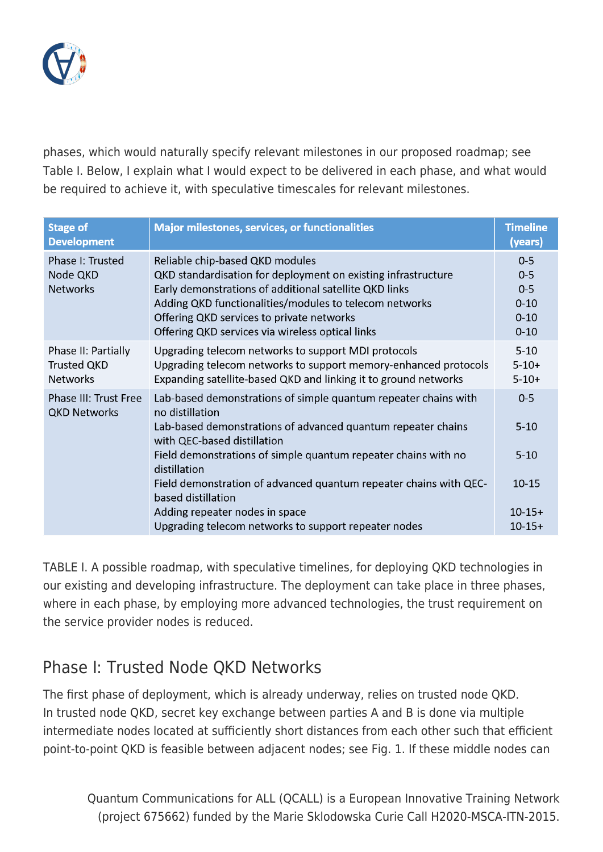

phases, which would naturally specify relevant milestones in our proposed roadmap; see Table I. Below, I explain what I would expect to be delivered in each phase, and what would be required to achieve it, with speculative timescales for relevant milestones.

| <b>Stage of</b><br><b>Development</b>                        | <b>Major milestones, services, or functionalities</b>                                                                                                                                                                                                                                                                 | <b>Timeline</b><br>(years)                                        |
|--------------------------------------------------------------|-----------------------------------------------------------------------------------------------------------------------------------------------------------------------------------------------------------------------------------------------------------------------------------------------------------------------|-------------------------------------------------------------------|
| Phase I: Trusted<br>Node QKD<br><b>Networks</b>              | Reliable chip-based QKD modules<br>QKD standardisation for deployment on existing infrastructure<br>Early demonstrations of additional satellite QKD links<br>Adding QKD functionalities/modules to telecom networks<br>Offering QKD services to private networks<br>Offering QKD services via wireless optical links | $0 - 5$<br>$0 - 5$<br>$0 - 5$<br>$0 - 10$<br>$0 - 10$<br>$0 - 10$ |
| Phase II: Partially<br><b>Trusted QKD</b><br><b>Networks</b> | Upgrading telecom networks to support MDI protocols<br>Upgrading telecom networks to support memory-enhanced protocols<br>Expanding satellite-based QKD and linking it to ground networks                                                                                                                             | $5 - 10$<br>$5-10+$<br>$5-10+$                                    |
| <b>Phase III: Trust Free</b><br><b>QKD Networks</b>          | Lab-based demonstrations of simple quantum repeater chains with<br>no distillation<br>Lab-based demonstrations of advanced quantum repeater chains<br>with QEC-based distillation                                                                                                                                     | $0 - 5$<br>$5 - 10$                                               |
|                                                              | Field demonstrations of simple quantum repeater chains with no<br>distillation                                                                                                                                                                                                                                        | $5 - 10$                                                          |
|                                                              | Field demonstration of advanced quantum repeater chains with QEC-<br>based distillation                                                                                                                                                                                                                               | $10 - 15$                                                         |
|                                                              | Adding repeater nodes in space<br>Upgrading telecom networks to support repeater nodes                                                                                                                                                                                                                                | $10-15+$<br>$10-15+$                                              |

TABLE I. A possible roadmap, with speculative timelines, for deploying QKD technologies in our existing and developing infrastructure. The deployment can take place in three phases, where in each phase, by employing more advanced technologies, the trust requirement on the service provider nodes is reduced.

#### Phase I: Trusted Node QKD Networks

The first phase of deployment, which is already underway, relies on trusted node QKD. In trusted node QKD, secret key exchange between parties A and B is done via multiple intermediate nodes located at sufficiently short distances from each other such that efficient point-to-point QKD is feasible between adjacent nodes; see Fig. 1. If these middle nodes can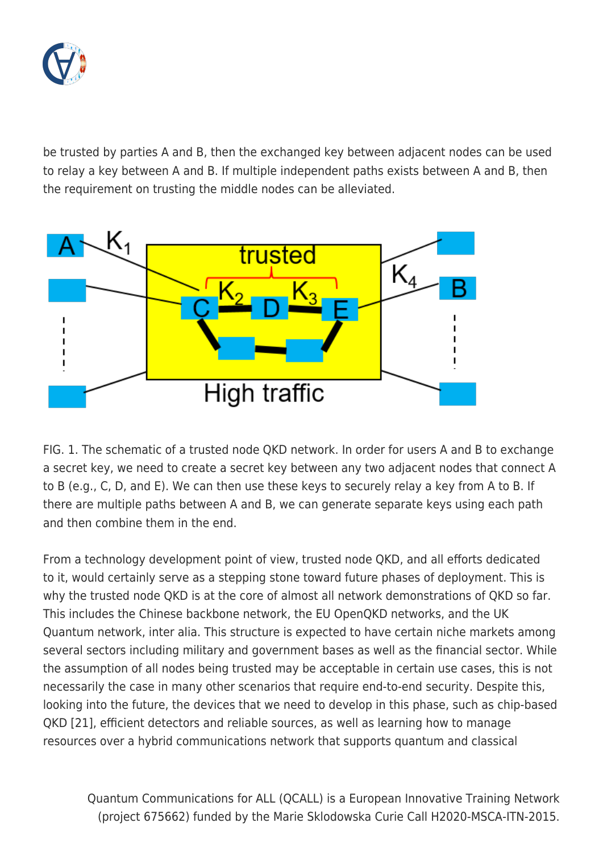

be trusted by parties A and B, then the exchanged key between adjacent nodes can be used to relay a key between A and B. If multiple independent paths exists between A and B, then the requirement on trusting the middle nodes can be alleviated.



FIG. 1. The schematic of a trusted node QKD network. In order for users A and B to exchange a secret key, we need to create a secret key between any two adjacent nodes that connect A to B (e.g., C, D, and E). We can then use these keys to securely relay a key from A to B. If there are multiple paths between A and B, we can generate separate keys using each path and then combine them in the end.

From a technology development point of view, trusted node QKD, and all efforts dedicated to it, would certainly serve as a stepping stone toward future phases of deployment. This is why the trusted node QKD is at the core of almost all network demonstrations of QKD so far. This includes the Chinese backbone network, the EU OpenQKD networks, and the UK Quantum network, inter alia. This structure is expected to have certain niche markets among several sectors including military and government bases as well as the financial sector. While the assumption of all nodes being trusted may be acceptable in certain use cases, this is not necessarily the case in many other scenarios that require end-to-end security. Despite this, looking into the future, the devices that we need to develop in this phase, such as chip-based QKD [21], efficient detectors and reliable sources, as well as learning how to manage resources over a hybrid communications network that supports quantum and classical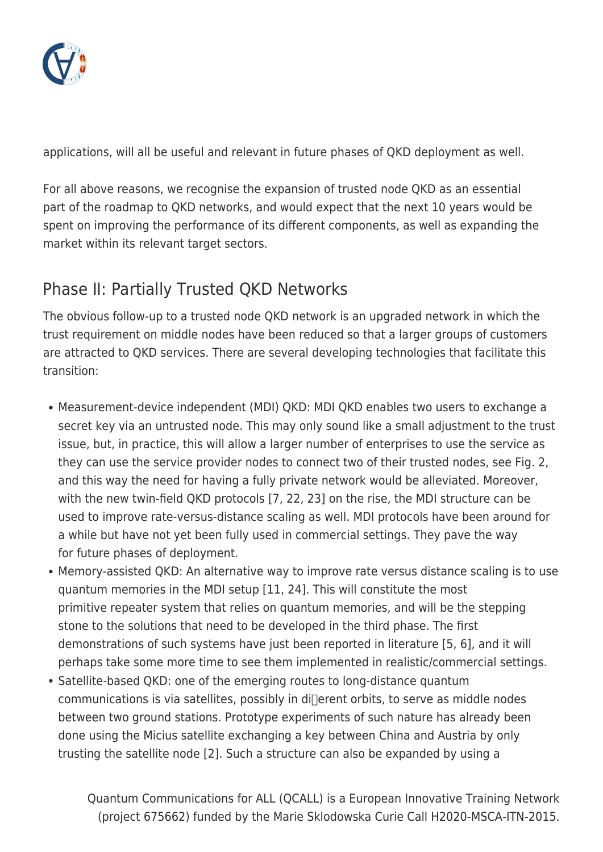

applications, will all be useful and relevant in future phases of QKD deployment as well.

For all above reasons, we recognise the expansion of trusted node QKD as an essential part of the roadmap to QKD networks, and would expect that the next 10 years would be spent on improving the performance of its different components, as well as expanding the market within its relevant target sectors.

### Phase II: Partially Trusted QKD Networks

The obvious follow-up to a trusted node QKD network is an upgraded network in which the trust requirement on middle nodes have been reduced so that a larger groups of customers are attracted to QKD services. There are several developing technologies that facilitate this transition:

- Measurement-device independent (MDI) QKD: MDI QKD enables two users to exchange a secret key via an untrusted node. This may only sound like a small adjustment to the trust issue, but, in practice, this will allow a larger number of enterprises to use the service as they can use the service provider nodes to connect two of their trusted nodes, see Fig. 2, and this way the need for having a fully private network would be alleviated. Moreover, with the new twin-field QKD protocols [7, 22, 23] on the rise, the MDI structure can be used to improve rate-versus-distance scaling as well. MDI protocols have been around for a while but have not yet been fully used in commercial settings. They pave the way for future phases of deployment.
- Memory-assisted QKD: An alternative way to improve rate versus distance scaling is to use quantum memories in the MDI setup [11, 24]. This will constitute the most primitive repeater system that relies on quantum memories, and will be the stepping stone to the solutions that need to be developed in the third phase. The first demonstrations of such systems have just been reported in literature [5, 6], and it will perhaps take some more time to see them implemented in realistic/commercial settings.
- Satellite-based QKD: one of the emerging routes to long-distance quantum  $communications$  is via satellites, possibly in di $\Box$ erent orbits, to serve as middle nodes between two ground stations. Prototype experiments of such nature has already been done using the Micius satellite exchanging a key between China and Austria by only trusting the satellite node [2]. Such a structure can also be expanded by using a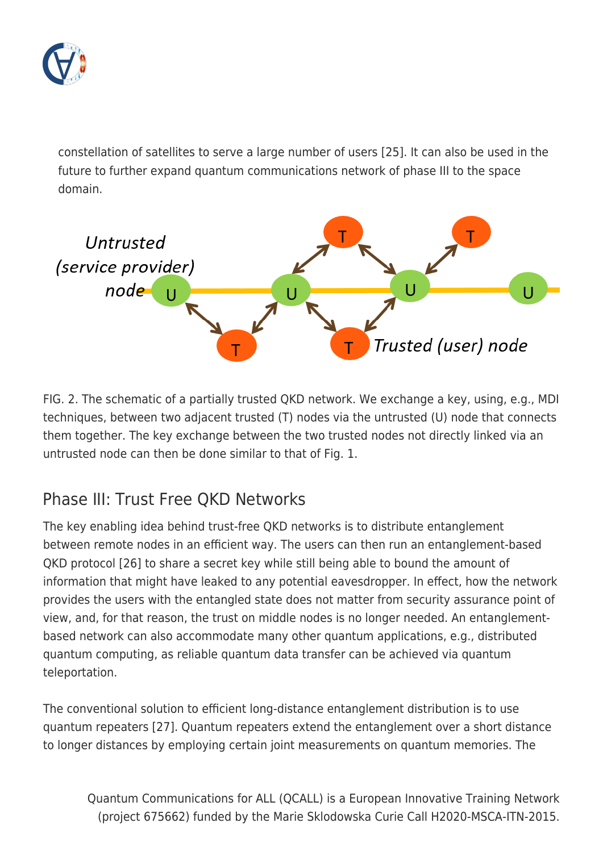

constellation of satellites to serve a large number of users [25]. It can also be used in the future to further expand quantum communications network of phase III to the space domain.



FIG. 2. The schematic of a partially trusted QKD network. We exchange a key, using, e.g., MDI techniques, between two adjacent trusted (T) nodes via the untrusted (U) node that connects them together. The key exchange between the two trusted nodes not directly linked via an untrusted node can then be done similar to that of Fig. 1.

### Phase III: Trust Free QKD Networks

The key enabling idea behind trust-free QKD networks is to distribute entanglement between remote nodes in an efficient way. The users can then run an entanglement-based QKD protocol [26] to share a secret key while still being able to bound the amount of information that might have leaked to any potential eavesdropper. In effect, how the network provides the users with the entangled state does not matter from security assurance point of view, and, for that reason, the trust on middle nodes is no longer needed. An entanglementbased network can also accommodate many other quantum applications, e.g., distributed quantum computing, as reliable quantum data transfer can be achieved via quantum teleportation.

The conventional solution to efficient long-distance entanglement distribution is to use quantum repeaters [27]. Quantum repeaters extend the entanglement over a short distance to longer distances by employing certain joint measurements on quantum memories. The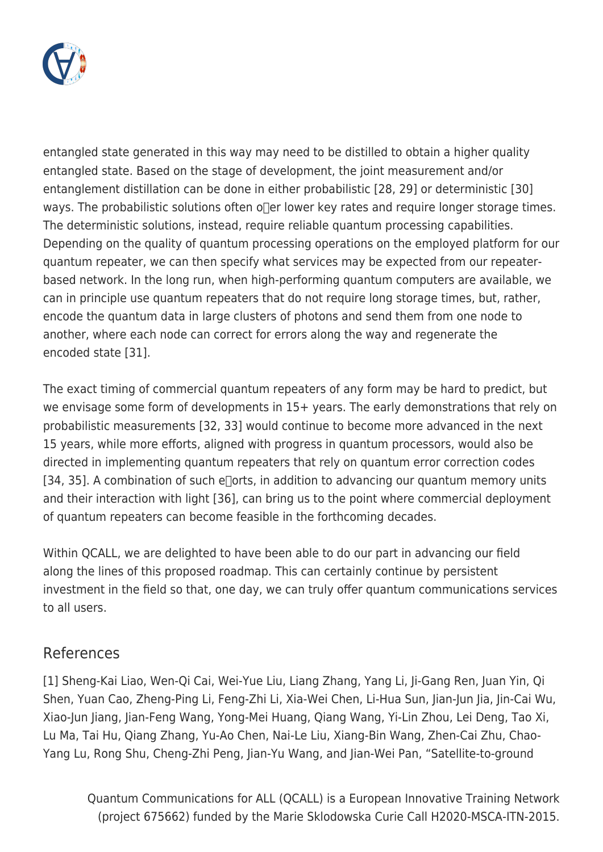

entangled state generated in this way may need to be distilled to obtain a higher quality entangled state. Based on the stage of development, the joint measurement and/or entanglement distillation can be done in either probabilistic [28, 29] or deterministic [30] ways. The probabilistic solutions often of  $e$  lower key rates and require longer storage times. The deterministic solutions, instead, require reliable quantum processing capabilities. Depending on the quality of quantum processing operations on the employed platform for our quantum repeater, we can then specify what services may be expected from our repeaterbased network. In the long run, when high-performing quantum computers are available, we can in principle use quantum repeaters that do not require long storage times, but, rather, encode the quantum data in large clusters of photons and send them from one node to another, where each node can correct for errors along the way and regenerate the encoded state [31].

The exact timing of commercial quantum repeaters of any form may be hard to predict, but we envisage some form of developments in 15+ years. The early demonstrations that rely on probabilistic measurements [32, 33] would continue to become more advanced in the next 15 years, while more efforts, aligned with progress in quantum processors, would also be directed in implementing quantum repeaters that rely on quantum error correction codes [34, 35]. A combination of such e $\Box$ orts, in addition to advancing our quantum memory units and their interaction with light [36], can bring us to the point where commercial deployment of quantum repeaters can become feasible in the forthcoming decades.

Within QCALL, we are delighted to have been able to do our part in advancing our field along the lines of this proposed roadmap. This can certainly continue by persistent investment in the field so that, one day, we can truly offer quantum communications services to all users.

#### References

[1] Sheng-Kai Liao, Wen-Qi Cai, Wei-Yue Liu, Liang Zhang, Yang Li, Ji-Gang Ren, Juan Yin, Qi Shen, Yuan Cao, Zheng-Ping Li, Feng-Zhi Li, Xia-Wei Chen, Li-Hua Sun, Jian-Jun Jia, Jin-Cai Wu, Xiao-Jun Jiang, Jian-Feng Wang, Yong-Mei Huang, Qiang Wang, Yi-Lin Zhou, Lei Deng, Tao Xi, Lu Ma, Tai Hu, Qiang Zhang, Yu-Ao Chen, Nai-Le Liu, Xiang-Bin Wang, Zhen-Cai Zhu, Chao-Yang Lu, Rong Shu, Cheng-Zhi Peng, Jian-Yu Wang, and Jian-Wei Pan, "Satellite-to-ground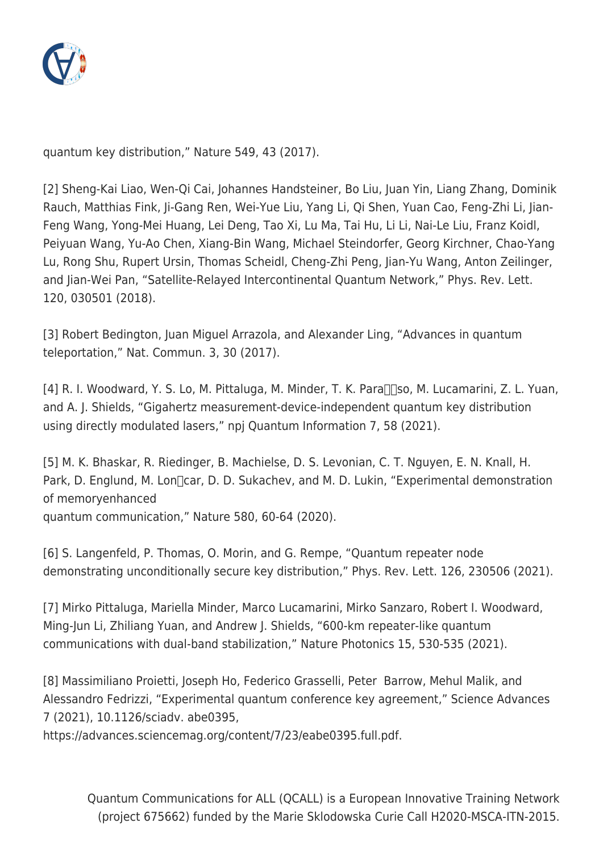

quantum key distribution," Nature 549, 43 (2017).

[2] Sheng-Kai Liao, Wen-Qi Cai, Johannes Handsteiner, Bo Liu, Juan Yin, Liang Zhang, Dominik Rauch, Matthias Fink, Ji-Gang Ren, Wei-Yue Liu, Yang Li, Qi Shen, Yuan Cao, Feng-Zhi Li, Jian-Feng Wang, Yong-Mei Huang, Lei Deng, Tao Xi, Lu Ma, Tai Hu, Li Li, Nai-Le Liu, Franz Koidl, Peiyuan Wang, Yu-Ao Chen, Xiang-Bin Wang, Michael Steindorfer, Georg Kirchner, Chao-Yang Lu, Rong Shu, Rupert Ursin, Thomas Scheidl, Cheng-Zhi Peng, Jian-Yu Wang, Anton Zeilinger, and Jian-Wei Pan, "Satellite-Relayed Intercontinental Quantum Network," Phys. Rev. Lett. 120, 030501 (2018).

[3] Robert Bedington, Juan Miguel Arrazola, and Alexander Ling, "Advances in quantum teleportation," Nat. Commun. 3, 30 (2017).

[4] R. I. Woodward, Y. S. Lo, M. Pittaluga, M. Minder, T. K. Para $\Box$ so, M. Lucamarini, Z. L. Yuan, and A. J. Shields, "Gigahertz measurement-device-independent quantum key distribution using directly modulated lasers," npj Quantum Information 7, 58 (2021).

[5] M. K. Bhaskar, R. Riedinger, B. Machielse, D. S. Levonian, C. T. Nguyen, E. N. Knall, H. Park, D. Englund, M. Lon [car, D. D. Sukachev, and M. D. Lukin, "Experimental demonstration of memoryenhanced quantum communication," Nature 580, 60-64 (2020).

[6] S. Langenfeld, P. Thomas, O. Morin, and G. Rempe, "Quantum repeater node demonstrating unconditionally secure key distribution," Phys. Rev. Lett. 126, 230506 (2021).

[7] Mirko Pittaluga, Mariella Minder, Marco Lucamarini, Mirko Sanzaro, Robert I. Woodward, Ming-Jun Li, Zhiliang Yuan, and Andrew J. Shields, "600-km repeater-like quantum communications with dual-band stabilization," Nature Photonics 15, 530-535 (2021).

[8] Massimiliano Proietti, Joseph Ho, Federico Grasselli, Peter Barrow, Mehul Malik, and Alessandro Fedrizzi, "Experimental quantum conference key agreement," Science Advances 7 (2021), 10.1126/sciadv. abe0395,

https://advances.sciencemag.org/content/7/23/eabe0395.full.pdf.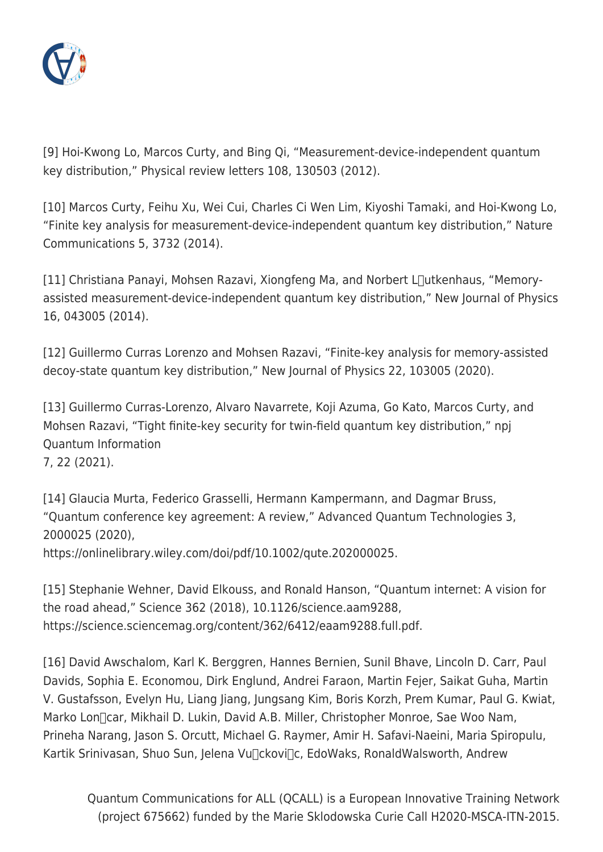

[9] Hoi-Kwong Lo, Marcos Curty, and Bing Qi, "Measurement-device-independent quantum key distribution," Physical review letters 108, 130503 (2012).

[10] Marcos Curty, Feihu Xu, Wei Cui, Charles Ci Wen Lim, Kiyoshi Tamaki, and Hoi-Kwong Lo, "Finite key analysis for measurement-device-independent quantum key distribution," Nature Communications 5, 3732 (2014).

 $[11]$  Christiana Panayi, Mohsen Razavi, Xiongfeng Ma, and Norbert L $\Box$ utkenhaus, "Memoryassisted measurement-device-independent quantum key distribution," New Journal of Physics 16, 043005 (2014).

[12] Guillermo Curras Lorenzo and Mohsen Razavi, "Finite-key analysis for memory-assisted decoy-state quantum key distribution," New Journal of Physics 22, 103005 (2020).

[13] Guillermo Curras-Lorenzo, Alvaro Navarrete, Koji Azuma, Go Kato, Marcos Curty, and Mohsen Razavi, "Tight finite-key security for twin-field quantum key distribution," npj Quantum Information 7, 22 (2021).

[14] Glaucia Murta, Federico Grasselli, Hermann Kampermann, and Dagmar Bruss, "Quantum conference key agreement: A review," Advanced Quantum Technologies 3, 2000025 (2020),

https://onlinelibrary.wiley.com/doi/pdf/10.1002/qute.202000025.

[15] Stephanie Wehner, David Elkouss, and Ronald Hanson, "Quantum internet: A vision for the road ahead," Science 362 (2018), 10.1126/science.aam9288, https://science.sciencemag.org/content/362/6412/eaam9288.full.pdf.

[16] David Awschalom, Karl K. Berggren, Hannes Bernien, Sunil Bhave, Lincoln D. Carr, Paul Davids, Sophia E. Economou, Dirk Englund, Andrei Faraon, Martin Fejer, Saikat Guha, Martin V. Gustafsson, Evelyn Hu, Liang Jiang, Jungsang Kim, Boris Korzh, Prem Kumar, Paul G. Kwiat, Marko Lon $\Box$ car, Mikhail D. Lukin, David A.B. Miller, Christopher Monroe, Sae Woo Nam, Prineha Narang, Jason S. Orcutt, Michael G. Raymer, Amir H. Safavi-Naeini, Maria Spiropulu, Kartik Srinivasan, Shuo Sun, Jelena Vu<sub>ll</sub>ckovilc, EdoWaks, RonaldWalsworth, Andrew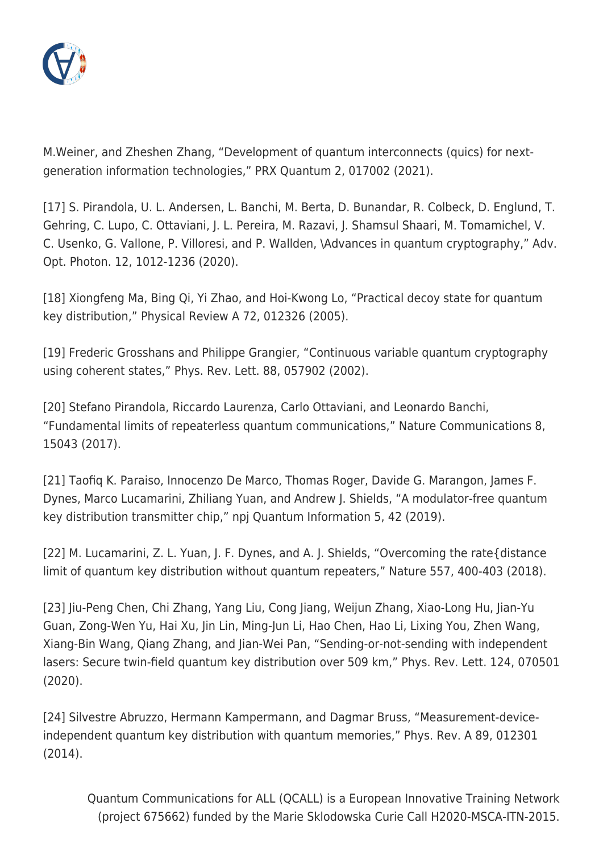

M.Weiner, and Zheshen Zhang, "Development of quantum interconnects (quics) for nextgeneration information technologies," PRX Quantum 2, 017002 (2021).

[17] S. Pirandola, U. L. Andersen, L. Banchi, M. Berta, D. Bunandar, R. Colbeck, D. Englund, T. Gehring, C. Lupo, C. Ottaviani, J. L. Pereira, M. Razavi, J. Shamsul Shaari, M. Tomamichel, V. C. Usenko, G. Vallone, P. Villoresi, and P. Wallden, \Advances in quantum cryptography," Adv. Opt. Photon. 12, 1012-1236 (2020).

[18] Xiongfeng Ma, Bing Qi, Yi Zhao, and Hoi-Kwong Lo, "Practical decoy state for quantum key distribution," Physical Review A 72, 012326 (2005).

[19] Frederic Grosshans and Philippe Grangier, "Continuous variable quantum cryptography using coherent states," Phys. Rev. Lett. 88, 057902 (2002).

[20] Stefano Pirandola, Riccardo Laurenza, Carlo Ottaviani, and Leonardo Banchi, "Fundamental limits of repeaterless quantum communications," Nature Communications 8, 15043 (2017).

[21] Taofiq K. Paraiso, Innocenzo De Marco, Thomas Roger, Davide G. Marangon, James F. Dynes, Marco Lucamarini, Zhiliang Yuan, and Andrew J. Shields, "A modulator-free quantum key distribution transmitter chip," npj Quantum Information 5, 42 (2019).

[22] M. Lucamarini, Z. L. Yuan, J. F. Dynes, and A. J. Shields, "Overcoming the rate{distance limit of quantum key distribution without quantum repeaters," Nature 557, 400-403 (2018).

[23] Jiu-Peng Chen, Chi Zhang, Yang Liu, Cong Jiang, Weijun Zhang, Xiao-Long Hu, Jian-Yu Guan, Zong-Wen Yu, Hai Xu, Jin Lin, Ming-Jun Li, Hao Chen, Hao Li, Lixing You, Zhen Wang, Xiang-Bin Wang, Qiang Zhang, and Jian-Wei Pan, "Sending-or-not-sending with independent lasers: Secure twin-field quantum key distribution over 509 km," Phys. Rev. Lett. 124, 070501 (2020).

[24] Silvestre Abruzzo, Hermann Kampermann, and Dagmar Bruss, "Measurement-deviceindependent quantum key distribution with quantum memories," Phys. Rev. A 89, 012301 (2014).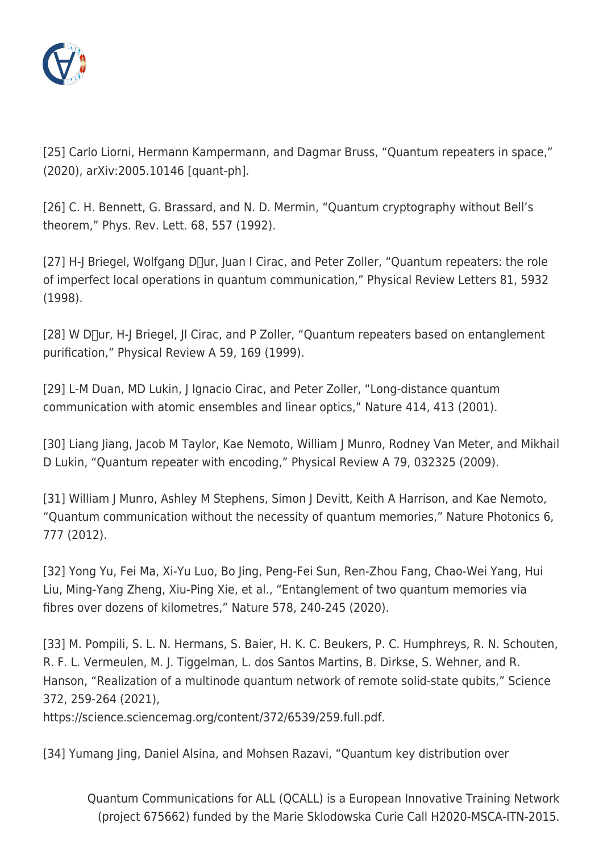

[25] Carlo Liorni, Hermann Kampermann, and Dagmar Bruss, "Quantum repeaters in space," (2020), arXiv:2005.10146 [quant-ph].

[26] C. H. Bennett, G. Brassard, and N. D. Mermin, "Quantum cryptography without Bell's theorem," Phys. Rev. Lett. 68, 557 (1992).

 $[27]$  H-J Briegel, Wolfgang D $\Box$ ur, Juan I Cirac, and Peter Zoller, "Quantum repeaters: the role of imperfect local operations in quantum communication," Physical Review Letters 81, 5932 (1998).

[28] W D[]ur, H-J Briegel, JI Cirac, and P Zoller, "Quantum repeaters based on entanglement purification," Physical Review A 59, 169 (1999).

[29] L-M Duan, MD Lukin, J Ignacio Cirac, and Peter Zoller, "Long-distance quantum communication with atomic ensembles and linear optics," Nature 414, 413 (2001).

[30] Liang Jiang, Jacob M Taylor, Kae Nemoto, William J Munro, Rodney Van Meter, and Mikhail D Lukin, "Quantum repeater with encoding," Physical Review A 79, 032325 (2009).

[31] William J Munro, Ashley M Stephens, Simon J Devitt, Keith A Harrison, and Kae Nemoto, "Quantum communication without the necessity of quantum memories," Nature Photonics 6, 777 (2012).

[32] Yong Yu, Fei Ma, Xi-Yu Luo, Bo Jing, Peng-Fei Sun, Ren-Zhou Fang, Chao-Wei Yang, Hui Liu, Ming-Yang Zheng, Xiu-Ping Xie, et al., "Entanglement of two quantum memories via fibres over dozens of kilometres," Nature 578, 240-245 (2020).

[33] M. Pompili, S. L. N. Hermans, S. Baier, H. K. C. Beukers, P. C. Humphreys, R. N. Schouten, R. F. L. Vermeulen, M. J. Tiggelman, L. dos Santos Martins, B. Dirkse, S. Wehner, and R. Hanson, "Realization of a multinode quantum network of remote solid-state qubits," Science 372, 259-264 (2021),

https://science.sciencemag.org/content/372/6539/259.full.pdf.

[34] Yumang Jing, Daniel Alsina, and Mohsen Razavi, "Quantum key distribution over